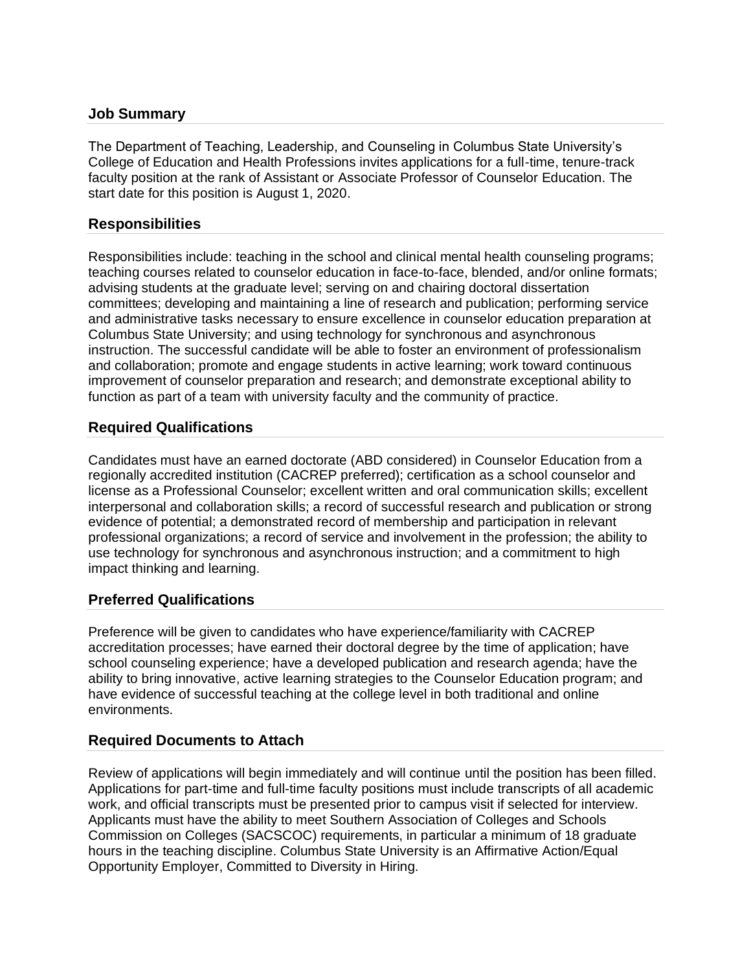### **Job Summary**

The Department of Teaching, Leadership, and Counseling in Columbus State University's College of Education and Health Professions invites applications for a full-time, tenure-track faculty position at the rank of Assistant or Associate Professor of Counselor Education. The start date for this position is August 1, 2020.

### **Responsibilities**

Responsibilities include: teaching in the school and clinical mental health counseling programs; teaching courses related to counselor education in face-to-face, blended, and/or online formats; advising students at the graduate level; serving on and chairing doctoral dissertation committees; developing and maintaining a line of research and publication; performing service and administrative tasks necessary to ensure excellence in counselor education preparation at Columbus State University; and using technology for synchronous and asynchronous instruction. The successful candidate will be able to foster an environment of professionalism and collaboration; promote and engage students in active learning; work toward continuous improvement of counselor preparation and research; and demonstrate exceptional ability to function as part of a team with university faculty and the community of practice.

### **Required Qualifications**

Candidates must have an earned doctorate (ABD considered) in Counselor Education from a regionally accredited institution (CACREP preferred); certification as a school counselor and license as a Professional Counselor; excellent written and oral communication skills; excellent interpersonal and collaboration skills; a record of successful research and publication or strong evidence of potential; a demonstrated record of membership and participation in relevant professional organizations; a record of service and involvement in the profession; the ability to use technology for synchronous and asynchronous instruction; and a commitment to high impact thinking and learning.

# **Preferred Qualifications**

Preference will be given to candidates who have experience/familiarity with CACREP accreditation processes; have earned their doctoral degree by the time of application; have school counseling experience; have a developed publication and research agenda; have the ability to bring innovative, active learning strategies to the Counselor Education program; and have evidence of successful teaching at the college level in both traditional and online environments.

#### **Required Documents to Attach**

Review of applications will begin immediately and will continue until the position has been filled. Applications for part-time and full-time faculty positions must include transcripts of all academic work, and official transcripts must be presented prior to campus visit if selected for interview. Applicants must have the ability to meet Southern Association of Colleges and Schools Commission on Colleges (SACSCOC) requirements, in particular a minimum of 18 graduate hours in the teaching discipline. Columbus State University is an Affirmative Action/Equal Opportunity Employer, Committed to Diversity in Hiring.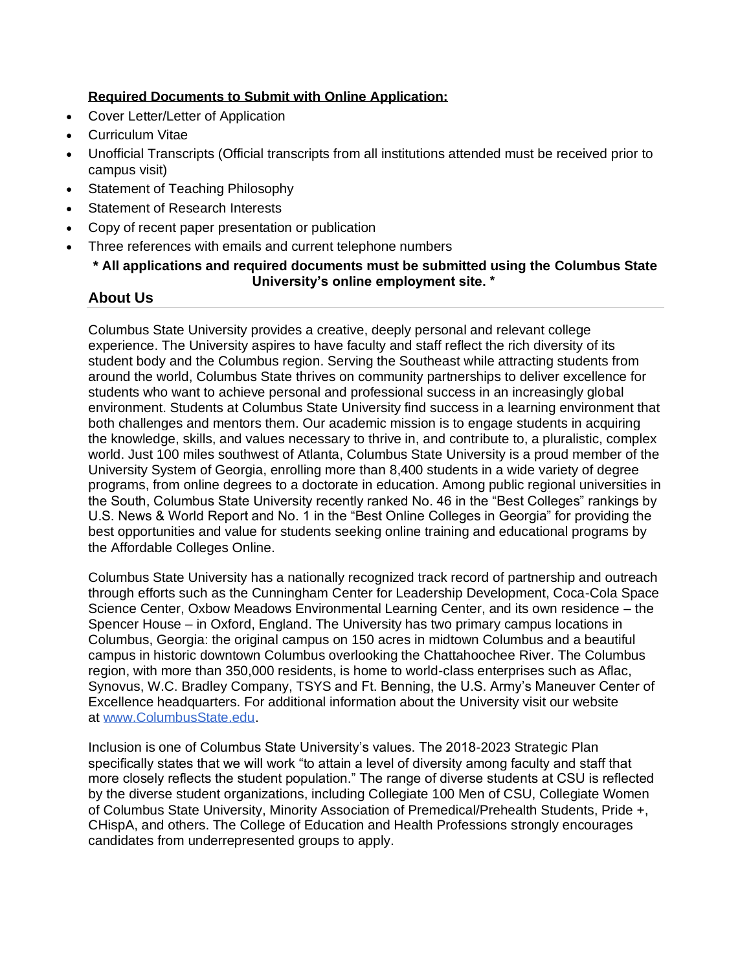# **Required Documents to Submit with Online Application:**

- Cover Letter/Letter of Application
- Curriculum Vitae
- Unofficial Transcripts (Official transcripts from all institutions attended must be received prior to campus visit)
- Statement of Teaching Philosophy
- Statement of Research Interests
- Copy of recent paper presentation or publication
- Three references with emails and current telephone numbers
	- **\* All applications and required documents must be submitted using the Columbus State University's online employment site. \***

# **About Us**

Columbus State University provides a creative, deeply personal and relevant college experience. The University aspires to have faculty and staff reflect the rich diversity of its student body and the Columbus region. Serving the Southeast while attracting students from around the world, Columbus State thrives on community partnerships to deliver excellence for students who want to achieve personal and professional success in an increasingly global environment. Students at Columbus State University find success in a learning environment that both challenges and mentors them. Our academic mission is to engage students in acquiring the knowledge, skills, and values necessary to thrive in, and contribute to, a pluralistic, complex world. Just 100 miles southwest of Atlanta, Columbus State University is a proud member of the University System of Georgia, enrolling more than 8,400 students in a wide variety of degree programs, from online degrees to a doctorate in education. Among public regional universities in the South, Columbus State University recently ranked No. 46 in the "Best Colleges" rankings by U.S. News & World Report and No. 1 in the "Best Online Colleges in Georgia" for providing the best opportunities and value for students seeking online training and educational programs by the Affordable Colleges Online.

Columbus State University has a nationally recognized track record of partnership and outreach through efforts such as the Cunningham Center for Leadership Development, Coca-Cola Space Science Center, Oxbow Meadows Environmental Learning Center, and its own residence – the Spencer House – in Oxford, England. The University has two primary campus locations in Columbus, Georgia: the original campus on 150 acres in midtown Columbus and a beautiful campus in historic downtown Columbus overlooking the Chattahoochee River. The Columbus region, with more than 350,000 residents, is home to world-class enterprises such as Aflac, Synovus, W.C. Bradley Company, TSYS and Ft. Benning, the U.S. Army's Maneuver Center of Excellence headquarters. For additional information about the University visit our website at [www.ColumbusState.edu.](http://www.columbusstate.edu/)

Inclusion is one of Columbus State University's values. The 2018-2023 Strategic Plan specifically states that we will work "to attain a level of diversity among faculty and staff that more closely reflects the student population." The range of diverse students at CSU is reflected by the diverse student organizations, including Collegiate 100 Men of CSU, Collegiate Women of Columbus State University, Minority Association of Premedical/Prehealth Students, Pride +, CHispA, and others. The College of Education and Health Professions strongly encourages candidates from underrepresented groups to apply.